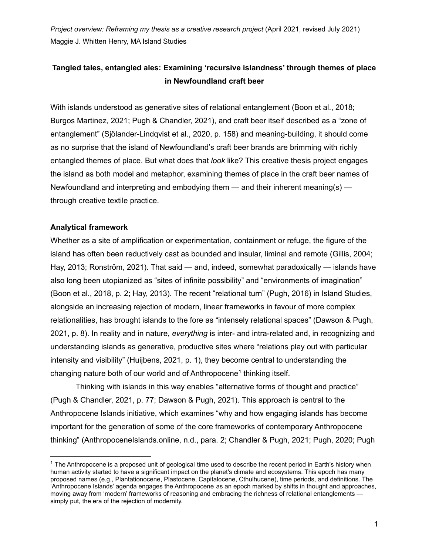*Project overview: Reframing my thesis as a creative research project* (April 2021, revised July 2021) Maggie J. Whitten Henry, MA Island Studies

# **Tangled tales, entangled ales: Examining 'recursive islandness' through themes of place in Newfoundland craft beer**

With islands understood as generative sites of relational entanglement (Boon et al., 2018; Burgos Martinez, 2021; Pugh & Chandler, 2021), and craft beer itself described as a "zone of entanglement" (Sjölander-Lindqvist et al., 2020, p. 158) and meaning-building, it should come as no surprise that the island of Newfoundland's craft beer brands are brimming with richly entangled themes of place. But what does that *look* like? This creative thesis project engages the island as both model and metaphor, examining themes of place in the craft beer names of Newfoundland and interpreting and embodying them  $-$  and their inherent meaning(s)  $$ through creative textile practice.

## **Analytical framework**

Whether as a site of amplification or experimentation, containment or refuge, the figure of the island has often been reductively cast as bounded and insular, liminal and remote (Gillis, 2004; Hay, 2013; Ronström, 2021). That said — and, indeed, somewhat paradoxically — islands have also long been utopianized as "sites of infinite possibility" and "environments of imagination" (Boon et al., 2018, p. 2; Hay, 2013). The recent "relational turn" (Pugh, 2016) in Island Studies, alongside an increasing rejection of modern, linear frameworks in favour of more complex relationalities, has brought islands to the fore as "intensely relational spaces" (Dawson & Pugh, 2021, p. 8). In reality and in nature, *everything* is inter- and intra-related and, in recognizing and understanding islands as generative, productive sites where "relations play out with particular intensity and visibility" (Huijbens, 2021, p. 1), they become central to understanding the changing nature both of our world and of Anthropocene 1 thinking itself.

Thinking with islands in this way enables "alternative forms of thought and practice" (Pugh & Chandler, 2021, p. 77; Dawson & Pugh, 2021). This approach is central to the Anthropocene Islands initiative, which examines "why and how engaging islands has become important for the generation of some of the core frameworks of contemporary Anthropocene thinking" (AnthropoceneIslands.online, n.d., para. 2; Chandler & Pugh, 2021; Pugh, 2020; Pugh

 $1$  The Anthropocene is a proposed unit of geological time used to describe the recent period in Earth's history when human activity started to have a significant impact on the planet's climate and ecosystems. This epoch has many proposed names (e.g., Plantationocene, Plastocene, Capitalocene, Cthulhucene), time periods, and definitions. The 'Anthropocene Islands' agenda engages the Anthropocene as an epoch marked by shifts in thought and approaches, moving away from 'modern' frameworks of reasoning and embracing the richness of relational entanglements simply put, the era of the rejection of modernity.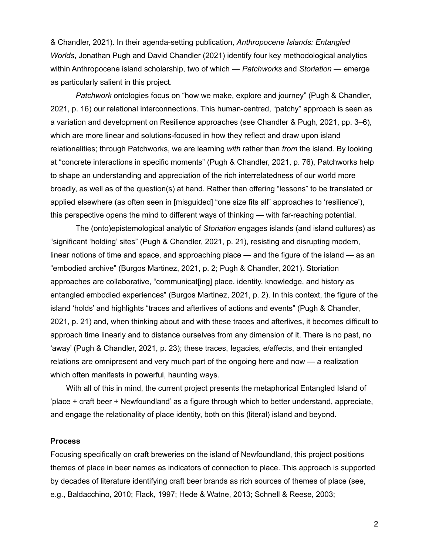& Chandler, 2021). In their agenda-setting publication, *Anthropocene Islands: Entangled Worlds*, Jonathan Pugh and David Chandler (2021) identify four key methodological analytics within Anthropocene island scholarship, two of which — *Patchworks* and *Storiation* — emerge as particularly salient in this project.

*Patchwork* ontologies focus on "how we make, explore and journey" (Pugh & Chandler, 2021, p. 16) our relational interconnections. This human-centred, "patchy" approach is seen as a variation and development on Resilience approaches (see Chandler & Pugh, 2021, pp. 3–6), which are more linear and solutions-focused in how they reflect and draw upon island relationalities; through Patchworks, we are learning *with* rather than *from* the island. By looking at "concrete interactions in specific moments" (Pugh & Chandler, 2021, p. 76), Patchworks help to shape an understanding and appreciation of the rich interrelatedness of our world more broadly, as well as of the question(s) at hand. Rather than offering "lessons" to be translated or applied elsewhere (as often seen in [misguided] "one size fits all" approaches to 'resilience'), this perspective opens the mind to different ways of thinking — with far-reaching potential.

The (onto)epistemological analytic of *Storiation* engages islands (and island cultures) as "significant 'holding' sites" (Pugh & Chandler, 2021, p. 21), resisting and disrupting modern, linear notions of time and space, and approaching place — and the figure of the island — as an "embodied archive" (Burgos Martinez, 2021, p. 2; Pugh & Chandler, 2021). Storiation approaches are collaborative, "communicat[ing] place, identity, knowledge, and history as entangled embodied experiences" (Burgos Martinez, 2021, p. 2). In this context, the figure of the island 'holds' and highlights "traces and afterlives of actions and events" (Pugh & Chandler, 2021, p. 21) and, when thinking about and with these traces and afterlives, it becomes difficult to approach time linearly and to distance ourselves from any dimension of it. There is no past, no 'away' (Pugh & Chandler, 2021, p. 23); these traces, legacies, e/affects, and their entangled relations are omnipresent and very much part of the ongoing here and now — a realization which often manifests in powerful, haunting ways.

With all of this in mind, the current project presents the metaphorical Entangled Island of 'place + craft beer + Newfoundland' as a figure through which to better understand, appreciate, and engage the relationality of place identity, both on this (literal) island and beyond.

#### **Process**

Focusing specifically on craft breweries on the island of Newfoundland, this project positions themes of place in beer names as indicators of connection to place. This approach is supported by decades of literature identifying craft beer brands as rich sources of themes of place (see, e.g., Baldacchino, 2010; Flack, 1997; Hede & Watne, 2013; Schnell & Reese, 2003;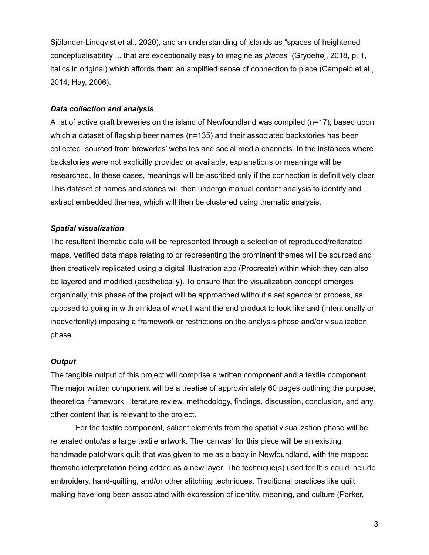Sjölander-Lindqvist et al., 2020), and an understanding of islands as "spaces of heightened conceptualisability ... that are exceptionally easy to imagine as *places*" (Grydehøj, 2018, p. 1, italics in original) which affords them an amplified sense of connection to place (Campelo et al., 2014; Hay, 2006).

## *Data collection and analysis*

A list of active craft breweries on the island of Newfoundland was compiled (n=17), based upon which a dataset of flagship beer names (n=135) and their associated backstories has been collected, sourced from breweries' websites and social media channels. In the instances where backstories were not explicitly provided or available, explanations or meanings will be researched. In these cases, meanings will be ascribed only if the connection is definitively clear. This dataset of names and stories will then undergo manual content analysis to identify and extract embedded themes, which will then be clustered using thematic analysis.

## *Spatial visualization*

The resultant thematic data will be represented through a selection of reproduced/reiterated maps. Verified data maps relating to or representing the prominent themes will be sourced and then creatively replicated using a digital illustration app (Procreate) within which they can also be layered and modified (aesthetically). To ensure that the visualization concept emerges organically, this phase of the project will be approached without a set agenda or process, as opposed to going in with an idea of what I want the end product to look like and (intentionally or inadvertently) imposing a framework or restrictions on the analysis phase and/or visualization phase.

### *Output*

The tangible output of this project will comprise a written component and a textile component. The major written component will be a treatise of approximately 60 pages outlining the purpose, theoretical framework, literature review, methodology, findings, discussion, conclusion, and any other content that is relevant to the project.

For the textile component, salient elements from the spatial visualization phase will be reiterated onto/as a large textile artwork. The 'canvas' for this piece will be an existing handmade patchwork quilt that was given to me as a baby in Newfoundland, with the mapped thematic interpretation being added as a new layer. The technique(s) used for this could include embroidery, hand-quilting, and/or other stitching techniques. Traditional practices like quilt making have long been associated with expression of identity, meaning, and culture (Parker,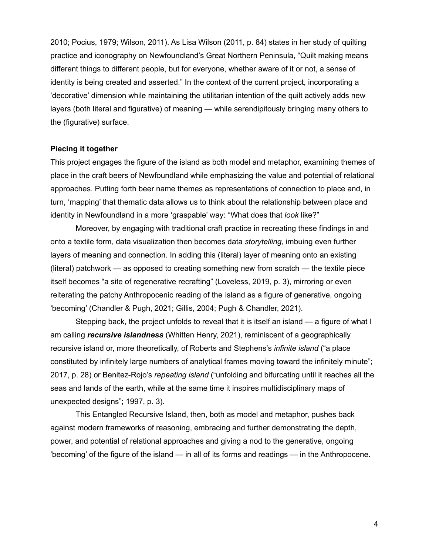2010; Pocius, 1979; Wilson, 2011). As Lisa Wilson (2011, p. 84) states in her study of quilting practice and iconography on Newfoundland's Great Northern Peninsula, "Quilt making means different things to different people, but for everyone, whether aware of it or not, a sense of identity is being created and asserted." In the context of the current project, incorporating a 'decorative' dimension while maintaining the utilitarian intention of the quilt actively adds new layers (both literal and figurative) of meaning — while serendipitously bringing many others to the (figurative) surface.

#### **Piecing it together**

This project engages the figure of the island as both model and metaphor, examining themes of place in the craft beers of Newfoundland while emphasizing the value and potential of relational approaches. Putting forth beer name themes as representations of connection to place and, in turn, 'mapping' that thematic data allows us to think about the relationship between place and identity in Newfoundland in a more 'graspable' way: "What does that *look* like?"

Moreover, by engaging with traditional craft practice in recreating these findings in and onto a textile form, data visualization then becomes data *storytelling*, imbuing even further layers of meaning and connection. In adding this (literal) layer of meaning onto an existing (literal) patchwork — as opposed to creating something new from scratch — the textile piece itself becomes "a site of regenerative recrafting" (Loveless, 2019, p. 3), mirroring or even reiterating the patchy Anthropocenic reading of the island as a figure of generative, ongoing 'becoming' (Chandler & Pugh, 2021; Gillis, 2004; Pugh & Chandler, 2021).

Stepping back, the project unfolds to reveal that it is itself an island — a figure of what I am calling *recursive islandness* (Whitten Henry, 2021), reminiscent of a geographically recursive island or, more theoretically, of Roberts and Stephens's *infinite island* ("a place constituted by infinitely large numbers of analytical frames moving toward the infinitely minute"; 2017, p. 28) or Benitez-Rojo's *repeating island* ("unfolding and bifurcating until it reaches all the seas and lands of the earth, while at the same time it inspires multidisciplinary maps of unexpected designs"; 1997, p. 3).

This Entangled Recursive Island, then, both as model and metaphor, pushes back against modern frameworks of reasoning, embracing and further demonstrating the depth, power, and potential of relational approaches and giving a nod to the generative, ongoing 'becoming' of the figure of the island — in all of its forms and readings — in the Anthropocene.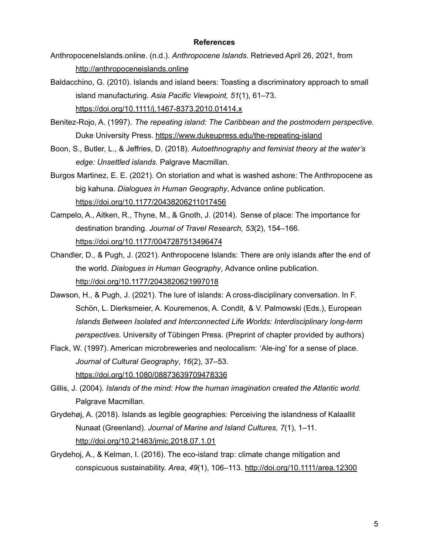#### **References**

- AnthropoceneIslands.online. (n.d.). *Anthropocene Islands*. Retrieved April 26, 2021, from <http://anthropoceneislands.online>
- Baldacchino, G. (2010). Islands and island beers: Toasting a discriminatory approach to small island manufacturing. *Asia Pacific Viewpoint, 51*(1), 61–73. <https://doi.org/10.1111/j.1467-8373.2010.01414.x>
- Benitez-Rojo, A. (1997). *The repeating island: The Caribbean and the postmodern perspective.* Duke University Press. <https://www.dukeupress.edu/the-repeating-island>
- Boon, S., Butler, L., & Jeffries, D. (2018). *Autoethnography and feminist theory at the water's edge: Unsettled islands.* Palgrave Macmillan.
- Burgos Martinez, E. E. (2021). On storiation and what is washed ashore: The Anthropocene as big kahuna. *Dialogues in Human Geography*, Advance online publication. <https://doi.org/10.1177/20438206211017456>
- Campelo, A., Aitken, R., Thyne, M., & Gnoth, J. (2014). Sense of place: The importance for destination branding. *Journal of Travel Research, 53*(2), 154–166. <https://doi.org/10.1177/0047287513496474>
- Chandler, D., & Pugh, J. (2021). Anthropocene Islands: There are only islands after the end of the world. *Dialogues in Human Geography*, Advance online publication. <http://doi.org/10.1177/2043820621997018>
- Dawson, H., & Pugh, J. (2021). The lure of islands: A cross-disciplinary conversation. In F. Schön, L. Dierksmeier, A. Kouremenos, A. Condit, & V. Palmowski (Eds.), European *Islands Between Isolated and Interconnected Life Worlds: Interdisciplinary long-term perspectives*. University of Tübingen Press. (Preprint of chapter provided by authors)
- Flack, W. (1997). American microbreweries and neolocalism: 'Ale-ing' for a sense of place. *Journal of Cultural Geography*, *16*(2), 37–53. <https://doi.org/10.1080/08873639709478336>
- Gillis, J. (2004). *Islands of the mind: How the human imagination created the Atlantic world.* Palgrave Macmillan.
- Grydehøj, A. (2018). Islands as legible geographies: Perceiving the islandness of Kalaallit Nunaat (Greenland). *Journal of Marine and Island Cultures, 7*(1), 1–11. <http://doi.org/10.21463/jmic.2018.07.1.01>
- Grydehoj, A., & Kelman, I. (2016). The eco-island trap: climate change mitigation and conspicuous sustainability. *Area*, *49*(1), 106–113. <http://doi.org/10.1111/area.12300>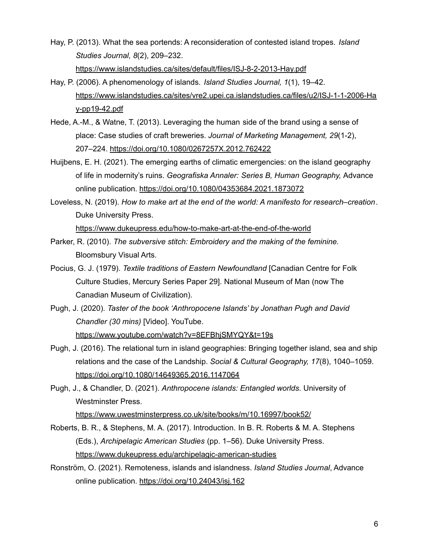- Hay, P. (2013). What the sea portends: A reconsideration of contested island tropes. *Island Studies Journal, 8*(2), 209–232. <https://www.islandstudies.ca/sites/default/files/ISJ-8-2-2013-Hay.pdf>
- Hay, P. (2006). A phenomenology of islands. *Island Studies Journal, 1*(1), 19–42. [https://www.islandstudies.ca/sites/vre2.upei.ca.islandstudies.ca/files/u2/ISJ-1-1-2006-Ha](https://www.islandstudies.ca/sites/vre2.upei.ca.islandstudies.ca/files/u2/ISJ-1-1-2006-Hay-pp19-42.pdf) [y-pp19-42.pdf](https://www.islandstudies.ca/sites/vre2.upei.ca.islandstudies.ca/files/u2/ISJ-1-1-2006-Hay-pp19-42.pdf)
- Hede, A.-M., & Watne, T. (2013). Leveraging the human side of the brand using a sense of place: Case studies of craft breweries. *Journal of Marketing Management, 29*(1-2), 207–224. <https://doi.org/10.1080/0267257X.2012.762422>
- Huijbens, E. H. (2021). The emerging earths of climatic emergencies: on the island geography of life in modernity's ruins. *Geografiska Annaler: Series B, Human Geography,* Advance online publication. <https://doi.org/10.1080/04353684.2021.1873072>
- Loveless, N. (2019). *How to make art at the end of the world: A manifesto for research–creation*. Duke University Press.

<https://www.dukeupress.edu/how-to-make-art-at-the-end-of-the-world>

- Parker, R. (2010). *The subversive stitch: Embroidery and the making of the feminine.* Bloomsbury Visual Arts.
- Pocius, G. J. (1979). *Textile traditions of Eastern Newfoundland* [Canadian Centre for Folk Culture Studies, Mercury Series Paper 29]. National Museum of Man (now The Canadian Museum of Civilization).
- Pugh, J. (2020). *Taster of the book 'Anthropocene Islands' by Jonathan Pugh and David Chandler (30 mins)* [Video]. YouTube. <https://www.youtube.com/watch?v=8EFBhjSMYQY&t=19s>
- Pugh, J. (2016). The relational turn in island geographies: Bringing together island, sea and ship relations and the case of the Landship. *Social & Cultural Geography, 17*(8), 1040–1059. <https://doi.org/10.1080/14649365.2016.1147064>

Pugh, J., & Chandler, D. (2021). *Anthropocene islands: Entangled worlds*. University of Westminster Press.

<https://www.uwestminsterpress.co.uk/site/books/m/10.16997/book52/>

- Roberts, B. R., & Stephens, M. A. (2017). Introduction. In B. R. Roberts & M. A. Stephens (Eds.), *Archipelagic American Studies* (pp. 1–56). Duke University Press. <https://www.dukeupress.edu/archipelagic-american-studies>
- Ronström, O. (2021). Remoteness, islands and islandness. *Island Studies Journal*, Advance online publication. <https://doi.org/10.24043/isj.162>